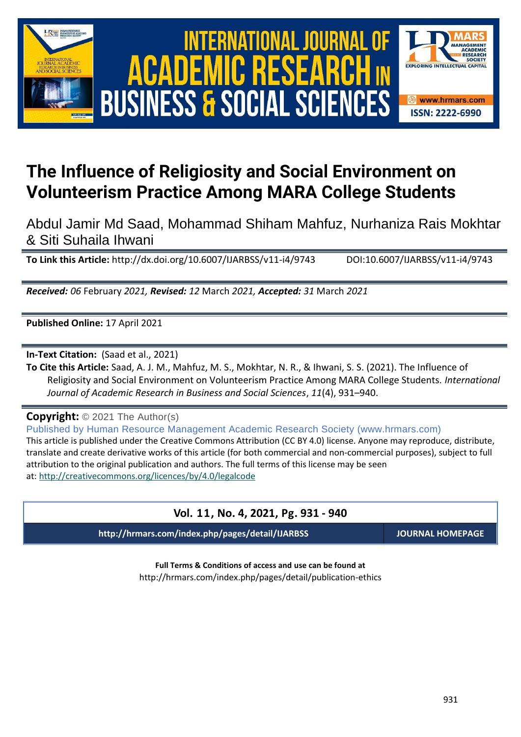





# **The Influence of Religiosity and Social Environment on Volunteerism Practice Among MARA College Students**

Abdul Jamir Md Saad, Mohammad Shiham Mahfuz, Nurhaniza Rais Mokhtar & Siti Suhaila Ihwani

**To Link this Article:** http://dx.doi.org/10.6007/IJARBSS/v11-i4/9743 DOI:10.6007/IJARBSS/v11-i4/9743

*Received: 06* February *2021, Revised: 12* March *2021, Accepted: 31* March *2021*

**Published Online:** 17 April 2021

**In-Text Citation:** (Saad et al., 2021)

**To Cite this Article:** Saad, A. J. M., Mahfuz, M. S., Mokhtar, N. R., & Ihwani, S. S. (2021). The Influence of Religiosity and Social Environment on Volunteerism Practice Among MARA College Students. *International Journal of Academic Research in Business and Social Sciences*, *11*(4), 931–940.

**Copyright:** © 2021 The Author(s)

Published by Human Resource Management Academic Research Society (www.hrmars.com) This article is published under the Creative Commons Attribution (CC BY 4.0) license. Anyone may reproduce, distribute, translate and create derivative works of this article (for both commercial and non-commercial purposes), subject to full attribution to the original publication and authors. The full terms of this license may be seen at: <http://creativecommons.org/licences/by/4.0/legalcode>

# **Vol. 11, No. 4, 2021, Pg. 931 - 940**

**http://hrmars.com/index.php/pages/detail/IJARBSS JOURNAL HOMEPAGE**

**Full Terms & Conditions of access and use can be found at** http://hrmars.com/index.php/pages/detail/publication-ethics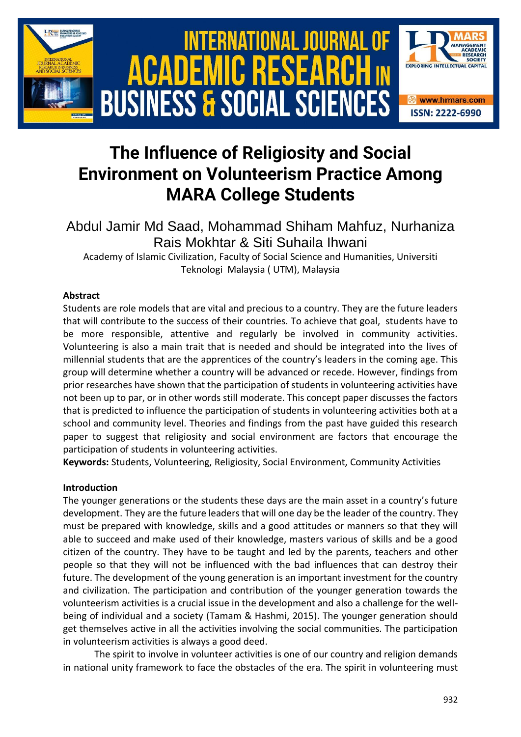

# **The Influence of Religiosity and Social Environment on Volunteerism Practice Among MARA College Students**

# Abdul Jamir Md Saad, Mohammad Shiham Mahfuz, Nurhaniza Rais Mokhtar & Siti Suhaila Ihwani

Academy of Islamic Civilization, Faculty of Social Science and Humanities, Universiti Teknologi Malaysia ( UTM), Malaysia

# **Abstract**

Students are role models that are vital and precious to a country. They are the future leaders that will contribute to the success of their countries. To achieve that goal, students have to be more responsible, attentive and regularly be involved in community activities. Volunteering is also a main trait that is needed and should be integrated into the lives of millennial students that are the apprentices of the country's leaders in the coming age. This group will determine whether a country will be advanced or recede. However, findings from prior researches have shown that the participation of students in volunteering activities have not been up to par, or in other words still moderate. This concept paper discusses the factors that is predicted to influence the participation of students in volunteering activities both at a school and community level. Theories and findings from the past have guided this research paper to suggest that religiosity and social environment are factors that encourage the participation of students in volunteering activities.

**Keywords:** Students, Volunteering, Religiosity, Social Environment, Community Activities

# **Introduction**

The younger generations or the students these days are the main asset in a country's future development. They are the future leaders that will one day be the leader of the country. They must be prepared with knowledge, skills and a good attitudes or manners so that they will able to succeed and make used of their knowledge, masters various of skills and be a good citizen of the country. They have to be taught and led by the parents, teachers and other people so that they will not be influenced with the bad influences that can destroy their future. The development of the young generation is an important investment for the country and civilization. The participation and contribution of the younger generation towards the volunteerism activities is a crucial issue in the development and also a challenge for the wellbeing of individual and a society (Tamam & Hashmi, 2015). The younger generation should get themselves active in all the activities involving the social communities. The participation in volunteerism activities is always a good deed.

The spirit to involve in volunteer activities is one of our country and religion demands in national unity framework to face the obstacles of the era. The spirit in volunteering must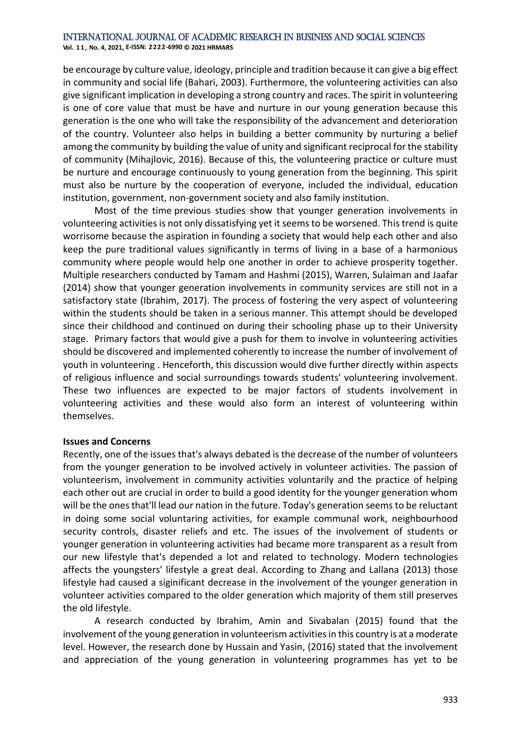**Vol. 1 1 , No. 4, 2021, E-ISSN: 2222-6990 © 2021 HRMARS**

be encourage by culture value, ideology, principle and tradition because it can give a big effect in community and social life (Bahari, 2003). Furthermore, the volunteering activities can also give significant implication in developing a strong country and races. The spirit in volunteering is one of core value that must be have and nurture in our young generation because this generation is the one who will take the responsibility of the advancement and deterioration of the country. Volunteer also helps in building a better community by nurturing a belief among the community by building the value of unity and significant reciprocal for the stability of community (Mihajlovic, 2016). Because of this, the volunteering practice or culture must be nurture and encourage continuously to young generation from the beginning. This spirit must also be nurture by the cooperation of everyone, included the individual, education institution, government, non-government society and also family institution.

Most of the time previous studies show that younger generation involvements in volunteering activities is not only dissatisfying yet it seems to be worsened. This trend is quite worrisome because the aspiration in founding a society that would help each other and also keep the pure traditional values significantly in terms of living in a base of a harmonious community where people would help one another in order to achieve prosperity together. Multiple researchers conducted by Tamam and Hashmi (2015), Warren, Sulaiman and Jaafar (2014) show that younger generation involvements in community services are still not in a satisfactory state (Ibrahim, 2017). The process of fostering the very aspect of volunteering within the students should be taken in a serious manner. This attempt should be developed since their childhood and continued on during their schooling phase up to their University stage. Primary factors that would give a push for them to involve in volunteering activities should be discovered and implemented coherently to increase the number of involvement of youth in volunteering . Henceforth, this discussion would dive further directly within aspects of religious influence and social surroundings towards students' volunteering involvement. These two influences are expected to be major factors of students involvement in volunteering activities and these would also form an interest of volunteering within themselves.

#### **Issues and [Concerns](http://scholar.google.com.my/scholar_url?url=http://www.ics.uci.edu/~corps/phaseii/KensingBlomberg-PDIssuesConcerns-JCSCW.pdf&hl=en&sa=X&scisig=AAGBfm2NMAD3RdzsMR54UgrglIR7OYzifw&nossl=1&oi=scholarr)**

Recently, one of the issues that's always debated is the decrease of the number of volunteers from the younger generation to be involved actively in volunteer activities. The passion of volunteerism, involvement in community activities voluntarily and the practice of helping each other out are crucial in order to build a good identity for the younger generation whom will be the ones that'll lead our nation in the future. Today's generation seems to be reluctant in doing some social voluntaring activities, for example communal work, neighbourhood security controls, disaster reliefs and etc. The issues of the involvement of students or younger generation in volunteering activities had became more transparent as a result from our new lifestyle that's depended a lot and related to technology. Modern technologies affects the youngsters' lifestyle a great deal. According to Zhang and Lallana (2013) those lifestyle had caused a siginificant decrease in the involvement of the younger generation in volunteer activities compared to the older generation which majority of them still preserves the old lifestyle.

A research conducted by Ibrahim, Amin and Sivabalan (2015) found that the involvement of the young generation in volunteerism activities in this country is at a moderate level. However, the research done by Hussain and Yasin, (2016) stated that the involvement and appreciation of the young generation in volunteering programmes has yet to be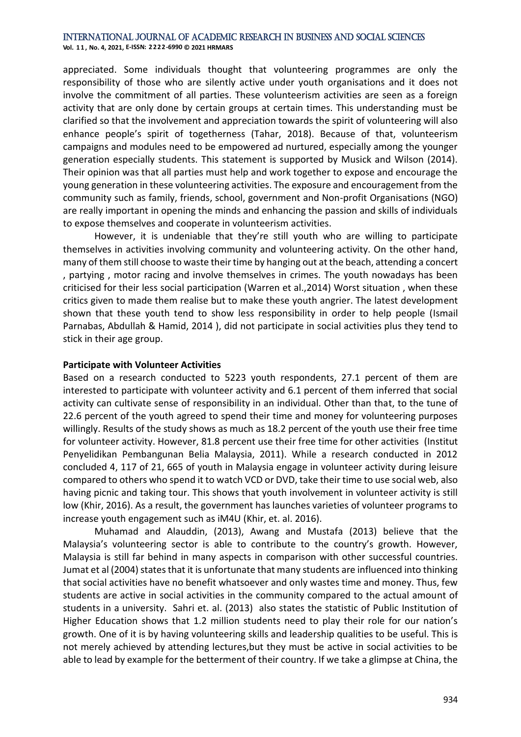**Vol. 1 1 , No. 4, 2021, E-ISSN: 2222-6990 © 2021 HRMARS**

appreciated. Some individuals thought that volunteering programmes are only the responsibility of those who are silently active under youth organisations and it does not involve the commitment of all parties. These volunteerism activities are seen as a foreign activity that are only done by certain groups at certain times. This understanding must be clarified so that the involvement and appreciation towards the spirit of volunteering will also enhance people's spirit of togetherness (Tahar, 2018). Because of that, volunteerism campaigns and modules need to be empowered ad nurtured, especially among the younger generation especially students. This statement is supported by Musick and Wilson (2014). Their opinion was that all parties must help and work together to expose and encourage the young generation in these volunteering activities. The exposure and encouragement from the community such as family, friends, school, government and Non-profit Organisations (NGO) are really important in opening the minds and enhancing the passion and skills of individuals to expose themselves and cooperate in volunteerism activities.

However, it is undeniable that they're still youth who are willing to participate themselves in activities involving community and volunteering activity. On the other hand, many of them still choose to waste their time by hanging out at the beach, attending a concert , partying , motor racing and involve themselves in crimes. The youth nowadays has been criticised for their less social participation (Warren et al.,2014) Worst situation , when these critics given to made them realise but to make these youth angrier. The latest development shown that these youth tend to show less responsibility in order to help people (Ismail Parnabas, Abdullah & Hamid, 2014 ), did not participate in social activities plus they tend to stick in their age group.

#### **Participate with Volunteer Activities**

Based on a research conducted to 5223 youth respondents, 27.1 percent of them are interested to participate with volunteer activity and 6.1 percent of them inferred that social activity can cultivate sense of responsibility in an individual. Other than that, to the tune of 22.6 percent of the youth agreed to spend their time and money for volunteering purposes willingly. Results of the study shows as much as 18.2 percent of the youth use their free time for volunteer activity. However, 81.8 percent use their free time for other activities (Institut Penyelidikan Pembangunan Belia Malaysia, 2011). While a research conducted in 2012 concluded 4, 117 of 21, 665 of youth in Malaysia engage in volunteer activity during leisure compared to others who spend it to watch VCD or DVD, take their time to use social web, also having picnic and taking tour. This shows that youth involvement in volunteer activity is still low (Khir, 2016). As a result, the government has launches varieties of volunteer programs to increase youth engagement such as iM4U (Khir, et. al. 2016).

Muhamad and Alauddin, (2013), Awang and Mustafa (2013) believe that the Malaysia's volunteering sector is able to contribute to the country's growth. However, Malaysia is still far behind in many aspects in comparison with other successful countries. Jumat et al (2004) states that it is unfortunate that many students are influenced into thinking that social activities have no benefit whatsoever and only wastes time and money. Thus, few students are active in social activities in the community compared to the actual amount of students in a university. Sahri et. al. (2013) also states the statistic of Public Institution of Higher Education shows that 1.2 million students need to play their role for our nation's growth. One of it is by having volunteering skills and leadership qualities to be useful. This is not merely achieved by attending lectures,but they must be active in social activities to be able to lead by example for the betterment of their country. If we take a glimpse at China, the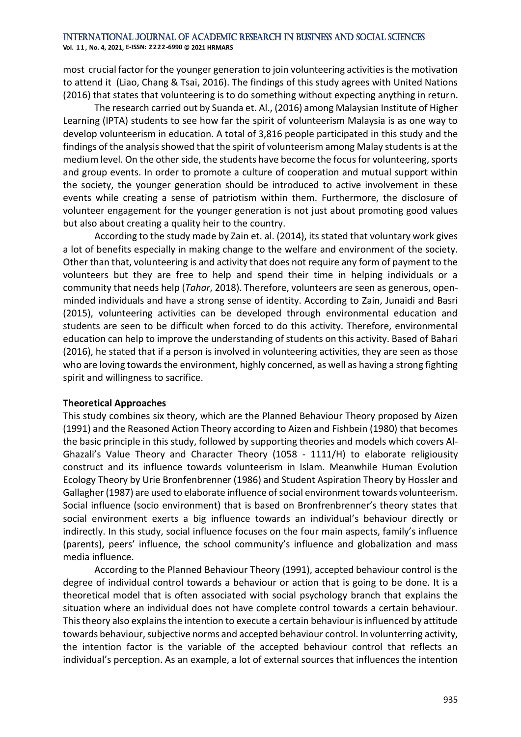**Vol. 1 1 , No. 4, 2021, E-ISSN: 2222-6990 © 2021 HRMARS**

most crucial factor for the younger generation to join volunteering activities is the motivation to attend it (Liao, Chang & Tsai, 2016). The findings of this study agrees with United Nations (2016) that states that volunteering is to do something without expecting anything in return.

The research carried out by Suanda et. Al., (2016) among Malaysian Institute of Higher Learning (IPTA) students to see how far the spirit of volunteerism Malaysia is as one way to develop volunteerism in education. A total of 3,816 people participated in this study and the findings of the analysis showed that the spirit of volunteerism among Malay students is at the medium level. On the other side, the students have become the focus for volunteering, sports and group events. In order to promote a culture of cooperation and mutual support within the society, the younger generation should be introduced to active involvement in these events while creating a sense of patriotism within them. Furthermore, the disclosure of volunteer engagement for the younger generation is not just about promoting good values but also about creating a quality heir to the country.

According to the study made by Zain et. al. (2014), its stated that voluntary work gives a lot of benefits especially in making change to the welfare and environment of the society. Other than that, volunteering is and activity that does not require any form of payment to the volunteers but they are free to help and spend their time in helping individuals or a community that needs help (*Tahar*, 2018). Therefore, volunteers are seen as generous, openminded individuals and have a strong sense of identity. According to Zain, Junaidi and Basri (2015), volunteering activities can be developed through environmental education and students are seen to be difficult when forced to do this activity. Therefore, environmental education can help to improve the understanding of students on this activity. Based of Bahari (2016), he stated that if a person is involved in volunteering activities, they are seen as those who are loving towards the environment, highly concerned, as well as having a strong fighting spirit and willingness to sacrifice.

## **Theoretical Approaches**

This study combines six theory, which are the Planned Behaviour Theory proposed by Aizen (1991) and the Reasoned Action Theory according to Aizen and Fishbein (1980) that becomes the basic principle in this study, followed by supporting theories and models which covers Al-Ghazali's Value Theory and Character Theory (1058 - 1111/H) to elaborate religiousity construct and its influence towards volunteerism in Islam. Meanwhile Human Evolution Ecology Theory by Urie Bronfenbrenner (1986) and Student Aspiration Theory by Hossler and Gallagher (1987) are used to elaborate influence of social environment towards volunteerism. Social influence (socio environment) that is based on Bronfrenbrenner's theory states that social environment exerts a big influence towards an individual's behaviour directly or indirectly. In this study, social influence focuses on the four main aspects, family's influence (parents), peers' influence, the school community's influence and globalization and mass media influence.

According to the Planned Behaviour Theory (1991), accepted behaviour control is the degree of individual control towards a behaviour or action that is going to be done. It is a theoretical model that is often associated with social psychology branch that explains the situation where an individual does not have complete control towards a certain behaviour. This theory also explains the intention to execute a certain behaviour is influenced by attitude towards behaviour, subjective norms and accepted behaviour control. In volunterring activity, the intention factor is the variable of the accepted behaviour control that reflects an individual's perception. As an example, a lot of external sources that influences the intention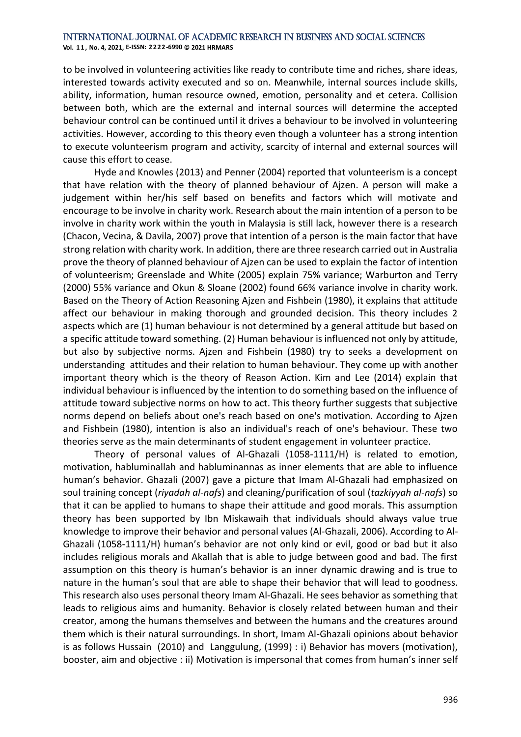**Vol. 1 1 , No. 4, 2021, E-ISSN: 2222-6990 © 2021 HRMARS**

to be involved in volunteering activities like ready to contribute time and riches, share ideas, interested towards activity executed and so on. Meanwhile, internal sources include skills, ability, information, human resource owned, emotion, personality and et cetera. Collision between both, which are the external and internal sources will determine the accepted behaviour control can be continued until it drives a behaviour to be involved in volunteering activities. However, according to this theory even though a volunteer has a strong intention to execute volunteerism program and activity, scarcity of internal and external sources will cause this effort to cease.

Hyde and Knowles (2013) and Penner (2004) reported that volunteerism is a concept that have relation with the theory of planned behaviour of Ajzen. A person will make a judgement within her/his self based on benefits and factors which will motivate and encourage to be involve in charity work. Research about the main intention of a person to be involve in charity work within the youth in Malaysia is still lack, however there is a research (Chacon, Vecina, & Davila, 2007) prove that intention of a person is the main factor that have strong relation with charity work. In addition, there are three research carried out in Australia prove the theory of planned behaviour of Ajzen can be used to explain the factor of intention of volunteerism; Greenslade and White (2005) explain 75% variance; Warburton and Terry (2000) 55% variance and Okun & Sloane (2002) found 66% variance involve in charity work. Based on the Theory of Action Reasoning Ajzen and Fishbein (1980), it explains that attitude affect our behaviour in making thorough and grounded decision. This theory includes 2 aspects which are (1) human behaviour is not determined by a general attitude but based on a specific attitude toward something. (2) Human behaviour is influenced not only by attitude, but also by subjective norms. Ajzen and Fishbein (1980) try to seeks a development on understanding attitudes and their relation to human behaviour. They come up with another important theory which is the theory of Reason Action. Kim and Lee (2014) explain that individual behaviour is influenced by the intention to do something based on the influence of attitude toward subjective norms on how to act. This theory further suggests that subjective norms depend on beliefs about one's reach based on one's motivation. According to Ajzen and Fishbein (1980), intention is also an individual's reach of one's behaviour. These two theories serve as the main determinants of student engagement in volunteer practice.

Theory of personal values of Al-Ghazali (1058-1111/H) is related to emotion, motivation, habluminallah and habluminannas as inner elements that are able to influence human's behavior. Ghazali (2007) gave a picture that Imam Al-Ghazali had emphasized on soul training concept (*riyadah al-nafs*) and cleaning/purification of soul (*tazkiyyah al-nafs*) so that it can be applied to humans to shape their attitude and good morals. This assumption theory has been supported by Ibn Miskawaih that individuals should always value true knowledge to improve their behavior and personal values (Al-Ghazali, 2006). According to Al-Ghazali (1058-1111/H) human's behavior are not only kind or evil, good or bad but it also includes religious morals and Akallah that is able to judge between good and bad. The first assumption on this theory is human's behavior is an inner dynamic drawing and is true to nature in the human's soul that are able to shape their behavior that will lead to goodness. This research also uses personal theory Imam Al-Ghazali. He sees behavior as something that leads to religious aims and humanity. Behavior is closely related between human and their creator, among the humans themselves and between the humans and the creatures around them which is their natural surroundings. In short, Imam Al-Ghazali opinions about behavior is as follows Hussain (2010) and Langgulung, (1999) : i) Behavior has movers (motivation), booster, aim and objective : ii) Motivation is impersonal that comes from human's inner self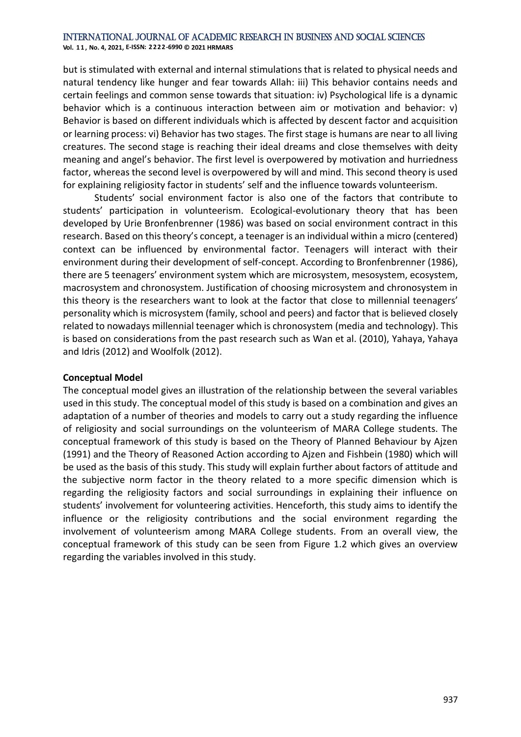**Vol. 1 1 , No. 4, 2021, E-ISSN: 2222-6990 © 2021 HRMARS**

but is stimulated with external and internal stimulations that is related to physical needs and natural tendency like hunger and fear towards Allah: iii) This behavior contains needs and certain feelings and common sense towards that situation: iv) Psychological life is a dynamic behavior which is a continuous interaction between aim or motivation and behavior: v) Behavior is based on different individuals which is affected by descent factor and acquisition or learning process: vi) Behavior has two stages. The first stage is humans are near to all living creatures. The second stage is reaching their ideal dreams and close themselves with deity meaning and angel's behavior. The first level is overpowered by motivation and hurriedness factor, whereas the second level is overpowered by will and mind. This second theory is used for explaining religiosity factor in students' self and the influence towards volunteerism.

Students' social environment factor is also one of the factors that contribute to students' participation in volunteerism. Ecological-evolutionary theory that has been developed by Urie Bronfenbrenner (1986) was based on social environment contract in this research. Based on this theory's concept, a teenager is an individual within a micro (centered) context can be influenced by environmental factor. Teenagers will interact with their environment during their development of self-concept. According to Bronfenbrenner (1986), there are 5 teenagers' environment system which are microsystem, mesosystem, ecosystem, macrosystem and chronosystem. Justification of choosing microsystem and chronosystem in this theory is the researchers want to look at the factor that close to millennial teenagers' personality which is microsystem (family, school and peers) and factor that is believed closely related to nowadays millennial teenager which is chronosystem (media and technology). This is based on considerations from the past research such as Wan et al. (2010), Yahaya, Yahaya and Idris (2012) and Woolfolk (2012).

## **Conceptual Model**

The conceptual model gives an illustration of the relationship between the several variables used in this study. The conceptual model of this study is based on a combination and gives an adaptation of a number of theories and models to carry out a study regarding the influence of religiosity and social surroundings on the volunteerism of MARA College students. The conceptual framework of this study is based on the Theory of Planned Behaviour by Ajzen (1991) and the Theory of Reasoned Action according to Ajzen and Fishbein (1980) which will be used as the basis of this study. This study will explain further about factors of attitude and the subjective norm factor in the theory related to a more specific dimension which is regarding the religiosity factors and social surroundings in explaining their influence on students' involvement for volunteering activities. Henceforth, this study aims to identify the influence or the religiosity contributions and the social environment regarding the involvement of volunteerism among MARA College students. From an overall view, the conceptual framework of this study can be seen from Figure 1.2 which gives an overview regarding the variables involved in this study.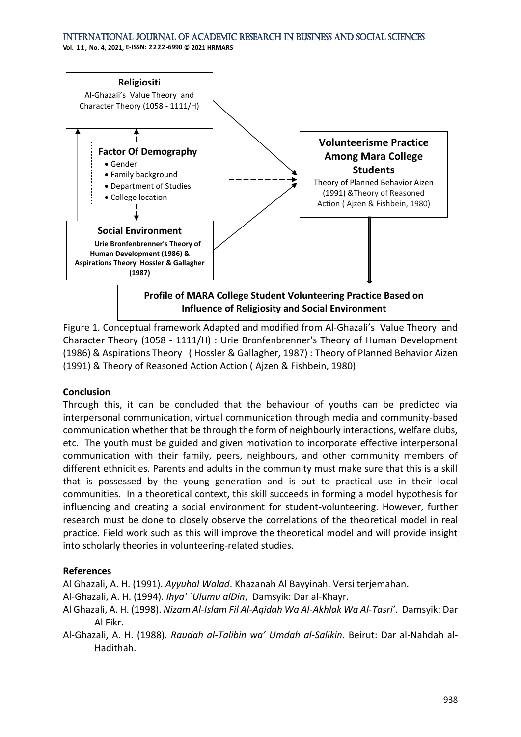**Vol. 1 1 , No. 4, 2021, E-ISSN: 2222-6990 © 2021 HRMARS**



Figure 1. Conceptual framework Adapted and modified from Al-Ghazali's Value Theory and Character Theory (1058 - 1111/H) : Urie Bronfenbrenner's Theory of Human Development (1986) & Aspirations Theory ( Hossler & Gallagher, 1987) : Theory of Planned Behavior Aizen (1991) & Theory of Reasoned Action Action ( Ajzen & Fishbein, 1980)

## **Conclusion**

Through this, it can be concluded that the behaviour of youths can be predicted via interpersonal communication, virtual communication through media and community-based communication whether that be through the form of neighbourly interactions, welfare clubs, etc. The youth must be guided and given motivation to incorporate effective interpersonal communication with their family, peers, neighbours, and other community members of different ethnicities. Parents and adults in the community must make sure that this is a skill that is possessed by the young generation and is put to practical use in their local communities. In a theoretical context, this skill succeeds in forming a model hypothesis for influencing and creating a social environment for student-volunteering. However, further research must be done to closely observe the correlations of the theoretical model in real practice. Field work such as this will improve the theoretical model and will provide insight into scholarly theories in volunteering-related studies.

## **References**

Al Ghazali, A. H. (1991). *Ayyuhal Walad*. Khazanah Al Bayyinah. Versi terjemahan.

- Al-Ghazali, A. H. (1994). *Ihya' `Ulumu alDin*, Damsyik: Dar al-Khayr.
- Al Ghazali, A. H. (1998). *Nizam Al-Islam Fil Al-Aqidah Wa Al-Akhlak Wa Al-Tasri'*. Damsyik: Dar Al Fikr.
- Al-Ghazali, A. H. (1988). *Raudah al-Talibin wa' Umdah al-Salikin*. Beirut: Dar al-Nahdah al-Hadithah.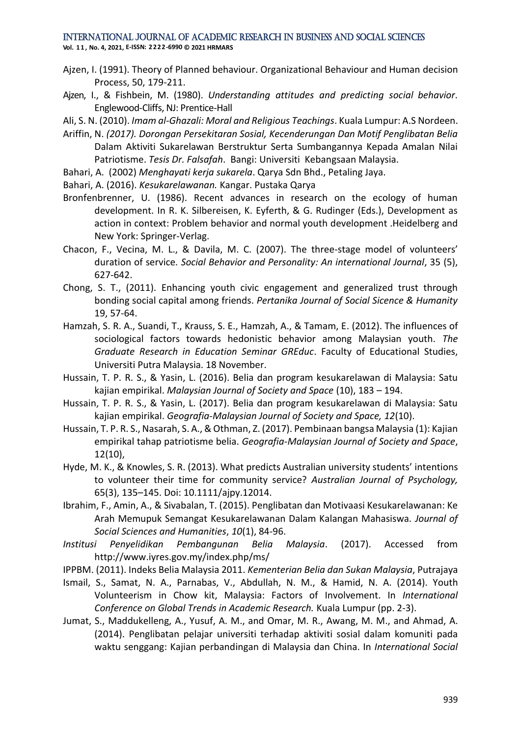**Vol. 1 1 , No. 4, 2021, E-ISSN: 2222-6990 © 2021 HRMARS**

- Ajzen, I. (1991). Theory of Planned behaviour. Organizational Behaviour and Human decision Process, 50, 179-211.
- Ajzen, I., & Fishbein, M. (1980). *Understanding attitudes and predicting social behavior*. Englewood-Cliffs, NJ: Prentice-Hall
- Ali, S. N. (2010). *Imam al-Ghazali: Moral and Religious Teachings*. Kuala Lumpur: A.S Nordeen.
- Ariffin, N. *(2017). Dorongan Persekitaran Sosial, Kecenderungan Dan Motif Penglibatan Belia* Dalam Aktiviti Sukarelawan Berstruktur Serta Sumbangannya Kepada Amalan Nilai Patriotisme. *Tesis Dr. Falsafah*. Bangi: Universiti Kebangsaan Malaysia.
- Bahari, A. (2002) *Menghayati kerja sukarela*. Qarya Sdn Bhd., Petaling Jaya.
- Bahari, A. (2016). *Kesukarelawanan.* Kangar. Pustaka Qarya
- Bronfenbrenner, U. (1986). Recent advances in research on the ecology of human development. In R. K. Silbereisen, K. Eyferth, & G. Rudinger (Eds.), Development as action in context: Problem behavior and normal youth development .Heidelberg and New York: Springer-Verlag.
- Chacon, F., Vecina, M. L., & Davila, M. C. (2007). The three-stage model of volunteers' duration of service*. Social Behavior and Personality: An international Journal*, 35 (5), 627-642.
- Chong, S. T., (2011). Enhancing youth civic engagement and generalized trust through bonding social capital among friends. *Pertanika Journal of Social Sicence & Humanity*  19, 57-64.
- Hamzah, S. R. A., Suandi, T., Krauss, S. E., Hamzah, A., & Tamam, E. (2012). The influences of sociological factors towards hedonistic behavior among Malaysian youth. *The Graduate Research in Education Seminar GREduc*. Faculty of Educational Studies, Universiti Putra Malaysia. 18 November.
- Hussain, T. P. R. S., & Yasin, L. (2016). Belia dan program kesukarelawan di Malaysia: Satu kajian empirikal. *Malaysian Journal of Society and Space* (10), 183 – 194.
- Hussain, T. P. R. S., & Yasin, L. (2017). Belia dan program kesukarelawan di Malaysia: Satu kajian empirikal. *Geografia-Malaysian Journal of Society and Space, 12*(10).
- Hussain, T. P. R. S., Nasarah, S. A., & Othman, Z. (2017). Pembinaan bangsa Malaysia (1): Kajian empirikal tahap patriotisme belia. *Geografia-Malaysian Journal of Society and Space*, 12(10),
- Hyde, M. K., & Knowles, S. R. (2013). What predicts Australian university students' intentions to volunteer their time for community service? *Australian Journal of Psychology,*  65(3), 135–145. Doi: 10.1111/ajpy.12014.
- Ibrahim, F., Amin, A., & Sivabalan, T. (2015). Penglibatan dan Motivaasi Kesukarelawanan: Ke Arah Memupuk Semangat Kesukarelawanan Dalam Kalangan Mahasiswa. *Journal of Social Sciences and Humanities*, *10*(1), 84-96.
- *Institusi Penyelidikan Pembangunan Belia Malaysia*. (2017). Accessed from http://www.iyres.gov.my/index.php/ms/
- IPPBM. (2011). Indeks Belia Malaysia 2011. *Kementerian Belia dan Sukan Malaysia*, Putrajaya
- Ismail, S., Samat, N. A., Parnabas, V., Abdullah, N. M., & Hamid, N. A. (2014). Youth Volunteerism in Chow kit, Malaysia: Factors of Involvement. In *International Conference on Global Trends in Academic Research.* Kuala Lumpur (pp. 2-3).
- Jumat, S., Maddukelleng, A., Yusuf, A. M., and Omar, M. R., Awang, M. M., and Ahmad, A. (2014). Penglibatan pelajar universiti terhadap aktiviti sosial dalam komuniti pada waktu senggang: Kajian perbandingan di Malaysia dan China. In *International Social*